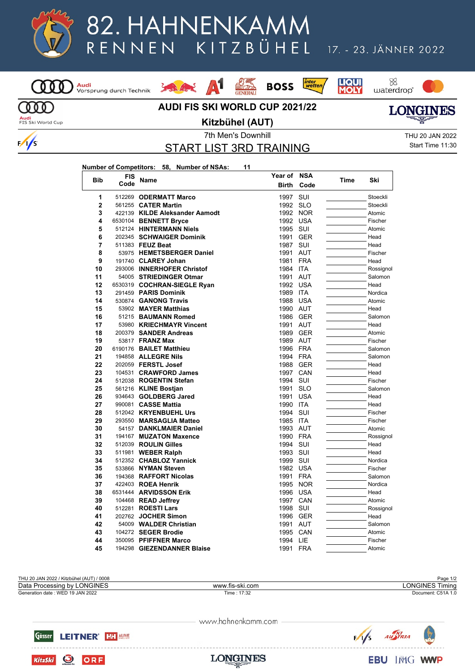

## 82. HAHNENKAMM KITZBÜHEL RENNEN

A1

## 17. - 23. JÄNNER 2022

88<br>waterdrop

**LIQUI**<br>**MOLY** 

*inter*<br>wetten

**BOSS** 



**AUDI FIS SKI WORLD CUP 2021/22**

**EVEN** 



**Audi**<br>FIS Ski World Cup

 $\frac{1}{s}$ 

**Kitzbühel (AUT)**

START LIST 3RD TRAINING

7th Men's Downhill THU 20 JAN 2022 Start Time 11:30

| Number of Competitors: 58, Number of NSAs: | 11 |
|--------------------------------------------|----|
|--------------------------------------------|----|

La State

| <b>Bib</b>     | <b>FIS</b> |                                | Year of      | NSA        | Time | Ski       |
|----------------|------------|--------------------------------|--------------|------------|------|-----------|
|                | Code       | <b>Name</b>                    | <b>Birth</b> | Code       |      |           |
| 1              |            | 512269 ODERMATT Marco          | 1997         | SUI        |      | Stoeckli  |
| $\mathbf 2$    |            | 561255 <b>CATER Martin</b>     | 1992         | <b>SLO</b> |      | Stoeckli  |
| 3              |            | 422139 KILDE Aleksander Aamodt | 1992         | <b>NOR</b> |      | Atomic    |
| 4              |            | 6530104 BENNETT Bryce          | 1992         | <b>USA</b> |      | Fischer   |
| 5              |            | 512124 HINTERMANN Niels        | 1995         | SUI        |      | Atomic    |
| 6              |            | 202345 SCHWAIGER Dominik       | 1991         | <b>GER</b> |      | Head      |
| $\overline{7}$ |            | 511383 FEUZ Beat               | 1987         | SUI        |      | Head      |
| 8              |            | 53975 HEMETSBERGER Daniel      | 1991         | <b>AUT</b> |      | Fischer   |
| 9              |            | 191740 CLAREY Johan            | 1981         | <b>FRA</b> |      | Head      |
| 10             |            | 293006 INNERHOFER Christof     | 1984 ITA     |            |      | Rossignol |
| 11             |            | 54005 STRIEDINGER Otmar        | 1991         | <b>AUT</b> |      | Salomon   |
| 12             |            | 6530319 COCHRAN-SIEGLE Ryan    |              | 1992 USA   |      | Head      |
| 13             |            | 291459 PARIS Dominik           | 1989         | <b>ITA</b> |      | Nordica   |
| 14             |            | 530874 GANONG Travis           |              | 1988 USA   |      | Atomic    |
| 15             |            | 53902 MAYER Matthias           |              | 1990 AUT   |      | Head      |
| 16             |            | 51215 BAUMANN Romed            | 1986         | <b>GER</b> |      | Salomon   |
| 17             |            | 53980 KRIECHMAYR Vincent       | 1991         | <b>AUT</b> |      | Head      |
| 18             |            | 200379 SANDER Andreas          | 1989         | <b>GER</b> |      | Atomic    |
| 19             |            | 53817 <b>FRANZ Max</b>         |              | 1989 AUT   |      | Fischer   |
| 20             |            | 6190176 BAILET Matthieu        |              | 1996 FRA   |      | Salomon   |
| 21             |            | 194858 ALLEGRE Nils            |              | 1994 FRA   |      | Salomon   |
| 22             |            | 202059 FERSTL Josef            | 1988         | <b>GER</b> |      | Head      |
| 23             |            | 104531 CRAWFORD James          | 1997         | CAN        |      | Head      |
| 24             |            | 512038 ROGENTIN Stefan         | 1994         | SUI        |      | Fischer   |
| 25             |            | 561216 KLINE Bostjan           | 1991         | <b>SLO</b> |      | Salomon   |
| 26             |            | 934643 GOLDBERG Jared          | 1991         | <b>USA</b> |      | Head      |
| 27             |            | 990081 CASSE Mattia            | 1990         | <b>ITA</b> |      | Head      |
| 28             |            | 512042 KRYENBUEHL Urs          | 1994         | SUI        |      | Fischer   |
| 29             |            | 293550 MARSAGLIA Matteo        | 1985         | <b>ITA</b> |      | Fischer   |
| 30             |            | 54157 DANKLMAIER Daniel        |              | 1993 AUT   |      | Atomic    |
| 31             |            | 194167 MUZATON Maxence         | 1990         | <b>FRA</b> |      | Rossignol |
| 32             |            | 512039 ROULIN Gilles           | 1994         | SUI        |      | Head      |
| 33             |            | 511981 WEBER Ralph             | 1993         | SUI        |      | Head      |
| 34             |            | 512352 CHABLOZ Yannick         | 1999         | SUI        |      | Nordica   |
| 35             |            | 533866 NYMAN Steven            |              | 1982 USA   |      | Fischer   |
| 36             |            | 194368 RAFFORT Nicolas         | 1991         | <b>FRA</b> |      | Salomon   |
| 37             |            | 422403 ROEA Henrik             | 1995         | <b>NOR</b> |      | Nordica   |
| 38             |            | 6531444 ARVIDSSON Erik         | 1996         | <b>USA</b> |      | Head      |
| 39             |            | 104468 READ Jeffrey            | 1997         | CAN        |      | Atomic    |
| 40             |            | 512281 ROESTI Lars             | 1998         | SUI        |      | Rossignol |
| 41             |            | 202762 JOCHER Simon            | 1996         | <b>GER</b> |      | Head      |
| 42             |            | 54009 WALDER Christian         | 1991         | <b>AUT</b> |      | Salomon   |
| 43             |            | 104272 SEGER Brodie            | 1995         | <b>CAN</b> |      | Atomic    |
| 44             |            | 350095 PFIFFNER Marco          | 1994         | LIE        |      | Fischer   |
| 45             |            | 194298 GIEZENDANNER Blaise     | 1991         | <b>FRA</b> |      | Atomic    |

THU 20 JAN 2022 / Kitzbühel (AUT) / 0008 Page 1/2 Generation date : WED 19 JAN 2022 Time : 17:32 Document: C51A 1.0 Data Processing by LONGINES www.fis-ski.com

www.hahnenkamm.com



O ORF

**KitzSki** 

AU STRIA  $\sqrt{s}$